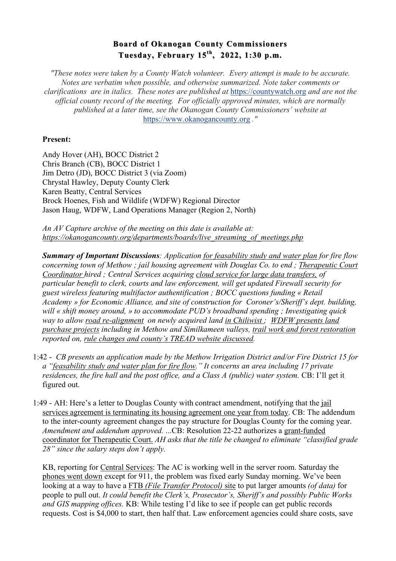## **Board of Okanogan County Commissioners Board of Okanogan County Commissioners Tuesday, February 15 Tuesday, February 15th, 2022, 1:30 p.m. , 2022, 1:30 p.m.**

*"These notes were taken by a County Watch volunteer. Every attempt is made to be accurate. Notes are verbatim when possible, and otherwise summarized. Note taker comments or clarifications are in italics. These notes are published at* https://countywatch.org *and are not the official county record of the meeting. For officially approved minutes, which are normally published at a later time, see the Okanogan County Commissioners' website at*  https://www.okanogancounty.org *."*

## **Present:**

Andy Hover (AH), BOCC District 2 Chris Branch (CB), BOCC District 1 Jim Detro (JD), BOCC District 3 (via Zoom) Chrystal Hawley, Deputy County Clerk Karen Beatty, Central Services Brock Hoenes, Fish and Wildlife (WDFW) Regional Director Jason Haug, WDFW, Land Operations Manager (Region 2, North)

*An AV Capture archive of the meeting on this date is available at: https://okanogancounty.org/departments/boards/live\_streaming\_of\_meetings.php*

*Summary of Important Discussions: Application for feasability study and water plan for fire flow concerning town of Methow ; jail housing agreement with Douglas Co. to end ; Therapeutic Court Coordinator hired ; Central Services acquiring cloud service for large data transfers, of particular benefit to clerk, courts and law enforcement, will get updated Firewall security for guest wireless featuring multifactor authentification ; BOCC questions funding « Retail Academy » for Economic Alliance, and site of construction for Coroner's/Sheriff's dept. building, will « shift money around, » to accommodate PUD's broadband spending ; Investigating quick way to allow road re-alignment on newly acquired land in Chiliwist ; WDFW presents land purchase projects including in Methow and Similkameen valleys, trail work and forest restoration reported on, rule changes and county's TREAD website discussed.* 

- 1:42 *CB presents an application made by the Methow Irrigation District and/or Fire District 15 for a "feasability study and water plan for fire flow." It concerns an area including 17 private residences, the fire hall and the post office, and a Class A (public) water system. CB: I'll get it* figured out.
- 1:49 AH: Here's a letter to Douglas County with contract amendment, notifying that the jail services agreement is terminating its housing agreement one year from today. CB: The addendum to the inter-county agreement changes the pay structure for Douglas County for the coming year. *Amendment and addendum approved.* ...CB: Resolution 22-22 authorizes a grant-funded coordinator for Therapeutic Court. *AH asks that the title be changed to eliminate "classified grade 28" since the salary steps don't apply.*

KB, reporting for Central Services: The AC is working well in the server room. Saturday the phones went down except for 911, the problem was fixed early Sunday morning. We've been looking at a way to have a FTB *(File Transfer Protocol)* site to put larger amounts *(of data)* for people to pull out. *It could benefit the Clerk's, Prosecutor's, Sheriff's and possibly Public Works and GIS mapping offices.* KB: While testing I'd like to see if people can get public records requests. Cost is \$4,000 to start, then half that. Law enforcement agencies could share costs, save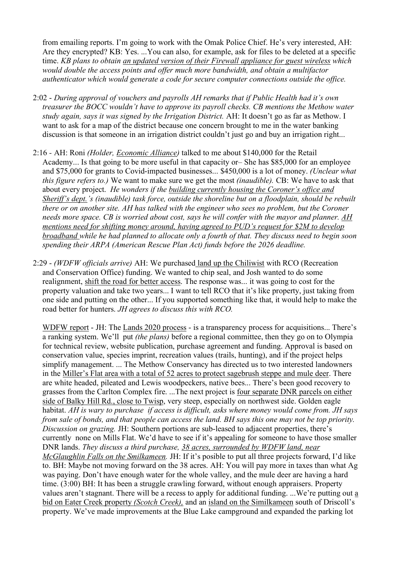from emailing reports. I'm going to work with the Omak Police Chief. He's very interested, AH: Are they encrypted? KB: Yes. ...You can also, for example, ask for files to be deleted at a specific time. *KB plans to obtain an updated version of their Firewall appliance for guest wireless which would double the access points and offer much more bandwidth, and obtain a multifactor authenticator which would generate a code for secure computer connections outside the office.*

- 2:02 *During approval of vouchers and payrolls AH remarks that if Public Health had it's own treasurer the BOCC wouldn't have to approve its payroll checks. CB mentions the Methow water study again, says it was signed by the Irrigation District.* AH: It doesn't go as far as Methow. I want to ask for a map of the district because one concern brought to me in the water banking discussion is that someone in an irrigation district couldn't just go and buy an irrigation right...
- 2:16 *-* AH: Roni *(Holder, Economic Alliance)* talked to me about \$140,000 for the Retail Academy... Is that going to be more useful in that capacity or– She has \$85,000 for an employee and \$75,000 for grants to Covid-impacted businesses... \$450,000 is a lot of money. *(Unclear what this figure refers to.)* We want to make sure we get the most *(inaudible).* CB: We have to ask that about every project. *He wonders if the building currently housing the Coroner's office and Sheriff's dept.'s (inaudible) task force, outside the shoreline but on a floodplain, should be rebuilt there or on another site. AH has talked with the engineer who sees no problem, but the Coroner needs more space. CB is worried about cost, says he will confer with the mayor and planner. AH mentions need for shifting money around, having agreed to PUD's request for \$2M to develop broadband while he had planned to allocate only a fourth of that. They discuss need to begin soon spending their ARPA (American Rescue Plan Act) funds before the 2026 deadline.*
- 2:29 *(WDFW officials arrive)* AH: We purchased land up the Chiliwist with RCO (Recreation and Conservation Office) funding. We wanted to chip seal, and Josh wanted to do some realignment, shift the road for better access. The response was... it was going to cost for the property valuation and take two years... I want to tell RCO that it's like property, just taking from one side and putting on the other... If you supported something like that, it would help to make the road better for hunters. *JH agrees to discuss this with RCO.*

WDFW report - JH: The Lands 2020 process - is a transparency process for acquisitions... There's a ranking system. We'll put *(the plans)* before a regional committee, then they go on to Olympia for technical review, website publication, purchase agreement and funding. Approval is based on conservation value, species imprint, recreation values (trails, hunting), and if the project helps simplify management. ... The Methow Conservancy has directed us to two interested landowners in the Miller's Flat area with a total of 52 acres to protect sagebrush steppe and mule deer. There are white headed, pileated and Lewis woodpeckers, native bees... There's been good recovery to grasses from the Carlton Complex fire. ...The next project is four separate DNR parcels on either side of Balky Hill Rd., close to Twisp, very steep, especially on northwest side. Golden eagle habitat. *AH is wary to purchase if access is difficult, asks where money would come from. JH says from sale of bonds, and that people can access the land. BH says this one may not be top priority. Discussion on grazing.* JH: Southern portions are sub-leased to adjacent properties, there's currently none on Mills Flat. We'd have to see if it's appealing for someone to have those smaller DNR lands. *They discuss a third purchase, 38 acres, surrounded by WDFW land, near McGlaughlin Falls on the Smilkameen.* JH: If it's posible to put all three projects forward, I'd like to. BH: Maybe not moving forward on the 38 acres. AH: You will pay more in taxes than what Ag was paying. Don't have enough water for the whole valley, and the mule deer are having a hard time. (3:00) BH: It has been a struggle crawling forward, without enough appraisers. Property values aren't stagnant. There will be a recess to apply for additional funding. ...We're putting out a bid on Eater Creek property *(Scotch Creek),* and an island on the Similkameen south of Driscoll's property. We've made improvements at the Blue Lake campground and expanded the parking lot